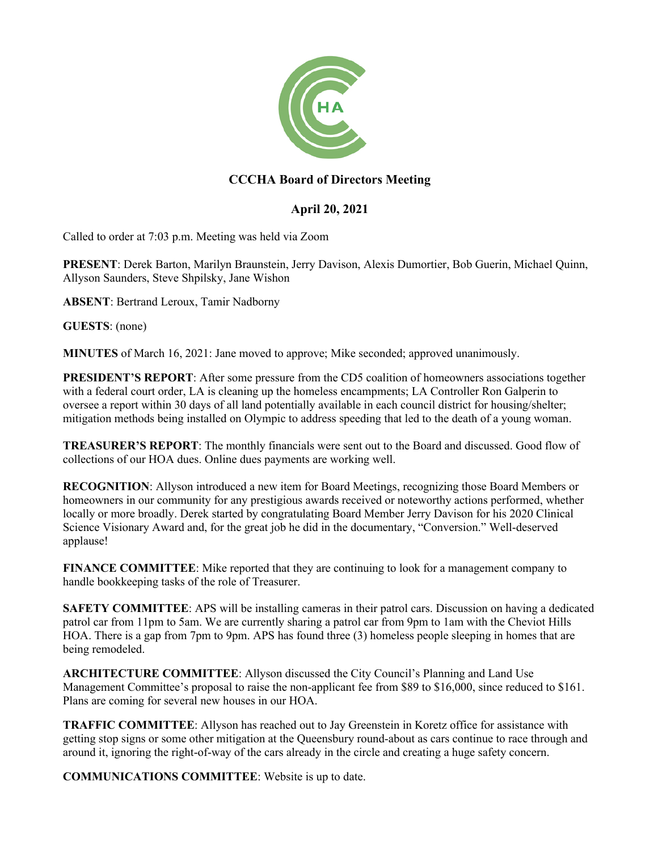

## **CCCHA Board of Directors Meeting**

## **April 20, 2021**

Called to order at 7:03 p.m. Meeting was held via Zoom

**PRESENT**: Derek Barton, Marilyn Braunstein, Jerry Davison, Alexis Dumortier, Bob Guerin, Michael Quinn, Allyson Saunders, Steve Shpilsky, Jane Wishon

**ABSENT**: Bertrand Leroux, Tamir Nadborny

**GUESTS**: (none)

**MINUTES** of March 16, 2021: Jane moved to approve; Mike seconded; approved unanimously.

**PRESIDENT'S REPORT**: After some pressure from the CD5 coalition of homeowners associations together with a federal court order, LA is cleaning up the homeless encampments; LA Controller Ron Galperin to oversee a report within 30 days of all land potentially available in each council district for housing/shelter; mitigation methods being installed on Olympic to address speeding that led to the death of a young woman.

**TREASURER'S REPORT**: The monthly financials were sent out to the Board and discussed. Good flow of collections of our HOA dues. Online dues payments are working well.

**RECOGNITION**: Allyson introduced a new item for Board Meetings, recognizing those Board Members or homeowners in our community for any prestigious awards received or noteworthy actions performed, whether locally or more broadly. Derek started by congratulating Board Member Jerry Davison for his 2020 Clinical Science Visionary Award and, for the great job he did in the documentary, "Conversion." Well-deserved applause!

**FINANCE COMMITTEE**: Mike reported that they are continuing to look for a management company to handle bookkeeping tasks of the role of Treasurer.

**SAFETY COMMITTEE:** APS will be installing cameras in their patrol cars. Discussion on having a dedicated patrol car from 11pm to 5am. We are currently sharing a patrol car from 9pm to 1am with the Cheviot Hills HOA. There is a gap from 7pm to 9pm. APS has found three (3) homeless people sleeping in homes that are being remodeled.

**ARCHITECTURE COMMITTEE**: Allyson discussed the City Council's Planning and Land Use Management Committee's proposal to raise the non-applicant fee from \$89 to \$16,000, since reduced to \$161. Plans are coming for several new houses in our HOA.

**TRAFFIC COMMITTEE**: Allyson has reached out to Jay Greenstein in Koretz office for assistance with getting stop signs or some other mitigation at the Queensbury round-about as cars continue to race through and around it, ignoring the right-of-way of the cars already in the circle and creating a huge safety concern.

**COMMUNICATIONS COMMITTEE**: Website is up to date.